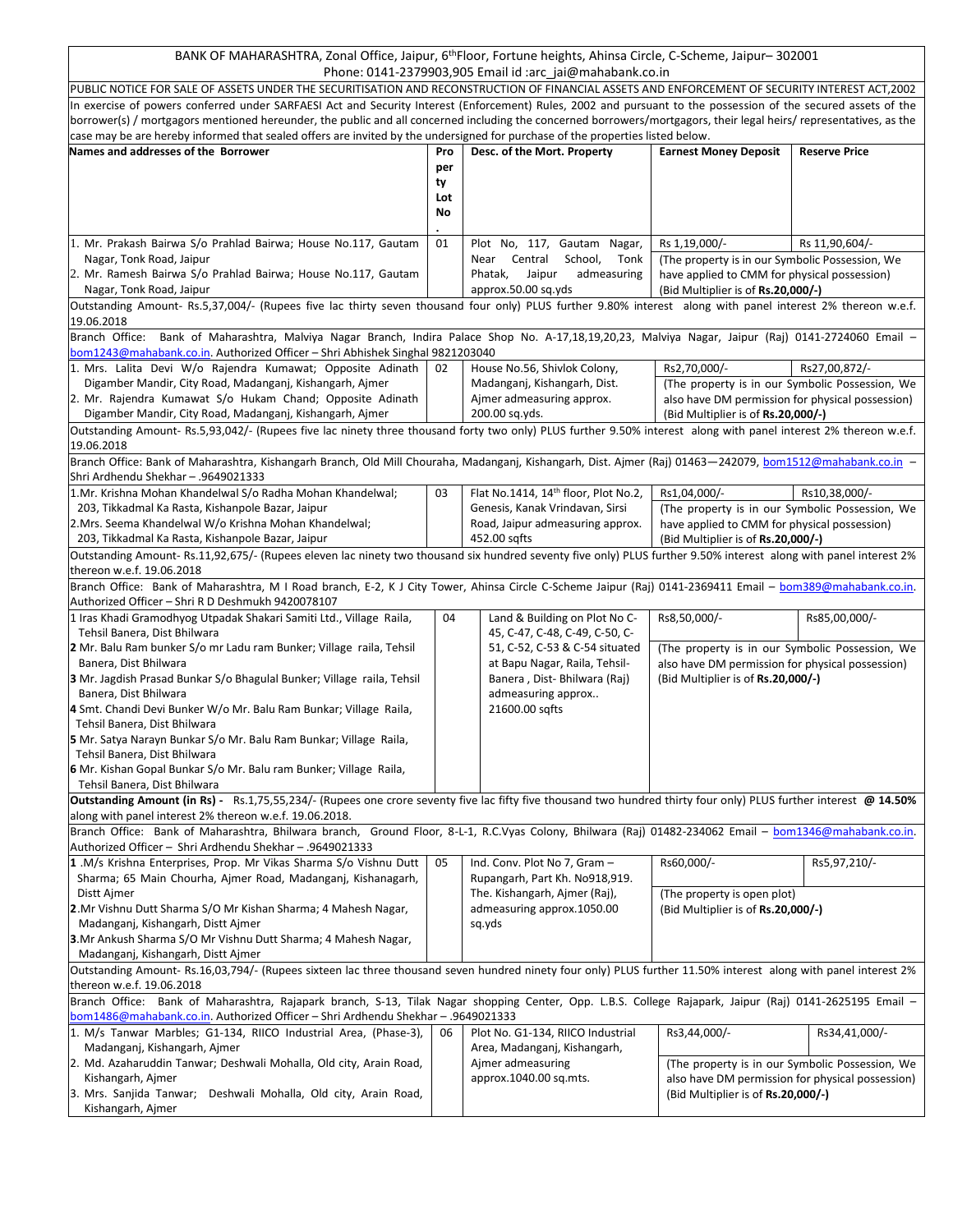BANK OF MAHARASHTRA, Zonal Office, Jaipur, 6<sup>th</sup>Floor, Fortune heights, Ahinsa Circle, C-Scheme, Jaipur– 302001 Phone: 0141-2379903,905 Email id :arc\_jai@mahabank.co.in

| rilolle. 0141-2373303,303 Lillall lu .alt  alwihlahalik.co.ill                                                                                                      |     |                                                                                                                                                    |                                                  |                      |  |  |  |  |  |
|---------------------------------------------------------------------------------------------------------------------------------------------------------------------|-----|----------------------------------------------------------------------------------------------------------------------------------------------------|--------------------------------------------------|----------------------|--|--|--|--|--|
| PUBLIC NOTICE FOR SALE OF ASSETS UNDER THE SECURITISATION AND RECONSTRUCTION OF FINANCIAL ASSETS AND ENFORCEMENT OF SECURITY INTEREST ACT,2002                      |     |                                                                                                                                                    |                                                  |                      |  |  |  |  |  |
| In exercise of powers conferred under SARFAESI Act and Security Interest (Enforcement) Rules, 2002 and pursuant to the possession of the secured assets of the      |     |                                                                                                                                                    |                                                  |                      |  |  |  |  |  |
| borrower(s) / mortgagors mentioned hereunder, the public and all concerned including the concerned borrowers/mortgagors, their legal heirs/ representatives, as the |     |                                                                                                                                                    |                                                  |                      |  |  |  |  |  |
| case may be are hereby informed that sealed offers are invited by the undersigned for purchase of the properties listed below.                                      |     |                                                                                                                                                    |                                                  |                      |  |  |  |  |  |
| Names and addresses of the Borrower                                                                                                                                 | Pro | Desc. of the Mort. Property                                                                                                                        | <b>Earnest Money Deposit</b>                     | <b>Reserve Price</b> |  |  |  |  |  |
|                                                                                                                                                                     | per |                                                                                                                                                    |                                                  |                      |  |  |  |  |  |
|                                                                                                                                                                     | ty  |                                                                                                                                                    |                                                  |                      |  |  |  |  |  |
|                                                                                                                                                                     | Lot |                                                                                                                                                    |                                                  |                      |  |  |  |  |  |
|                                                                                                                                                                     | No  |                                                                                                                                                    |                                                  |                      |  |  |  |  |  |
|                                                                                                                                                                     |     |                                                                                                                                                    |                                                  |                      |  |  |  |  |  |
| 1. Mr. Prakash Bairwa S/o Prahlad Bairwa; House No.117, Gautam                                                                                                      |     |                                                                                                                                                    |                                                  | Rs 11,90,604/-       |  |  |  |  |  |
|                                                                                                                                                                     | 01  | Plot No, 117, Gautam Nagar,                                                                                                                        | Rs 1,19,000/-                                    |                      |  |  |  |  |  |
| Nagar, Tonk Road, Jaipur                                                                                                                                            |     | Near Central<br>School,<br>Tonk                                                                                                                    | (The property is in our Symbolic Possession, We  |                      |  |  |  |  |  |
| 2. Mr. Ramesh Bairwa S/o Prahlad Bairwa; House No.117, Gautam                                                                                                       |     | Phatak,<br>Jaipur<br>admeasuring                                                                                                                   | have applied to CMM for physical possession)     |                      |  |  |  |  |  |
| Nagar, Tonk Road, Jaipur                                                                                                                                            |     | approx.50.00 sq.yds                                                                                                                                | (Bid Multiplier is of Rs.20,000/-)               |                      |  |  |  |  |  |
| Outstanding Amount-Rs.5,37,004/- (Rupees five lac thirty seven thousand four only) PLUS further 9.80% interest along with panel interest 2% thereon w.e.f.          |     |                                                                                                                                                    |                                                  |                      |  |  |  |  |  |
| 19.06.2018                                                                                                                                                          |     |                                                                                                                                                    |                                                  |                      |  |  |  |  |  |
| Branch Office: Bank of Maharashtra, Malviya Nagar Branch, Indira Palace Shop No. A-17,18,19,20,23, Malviya Nagar, Jaipur (Raj) 0141-2724060 Email -                 |     |                                                                                                                                                    |                                                  |                      |  |  |  |  |  |
| bom1243@mahabank.co.in. Authorized Officer - Shri Abhishek Singhal 9821203040                                                                                       |     |                                                                                                                                                    |                                                  |                      |  |  |  |  |  |
| 1. Mrs. Lalita Devi W/o Rajendra Kumawat; Opposite Adinath                                                                                                          | 02  | House No.56, Shivlok Colony,                                                                                                                       | Rs2,70,000/-                                     | Rs27,00,872/-        |  |  |  |  |  |
|                                                                                                                                                                     |     |                                                                                                                                                    |                                                  |                      |  |  |  |  |  |
| Digamber Mandir, City Road, Madanganj, Kishangarh, Ajmer                                                                                                            |     | Madanganj, Kishangarh, Dist.                                                                                                                       | (The property is in our Symbolic Possession, We  |                      |  |  |  |  |  |
| 2. Mr. Rajendra Kumawat S/o Hukam Chand; Opposite Adinath                                                                                                           |     | Ajmer admeasuring approx.                                                                                                                          | also have DM permission for physical possession) |                      |  |  |  |  |  |
| Digamber Mandir, City Road, Madanganj, Kishangarh, Ajmer                                                                                                            |     | 200.00 sq.yds.                                                                                                                                     | (Bid Multiplier is of Rs.20,000/-)               |                      |  |  |  |  |  |
| Outstanding Amount-Rs.5,93,042/- (Rupees five lac ninety three thousand forty two only) PLUS further 9.50% interest along with panel interest 2% thereon w.e.f.     |     |                                                                                                                                                    |                                                  |                      |  |  |  |  |  |
| 19.06.2018                                                                                                                                                          |     |                                                                                                                                                    |                                                  |                      |  |  |  |  |  |
| Branch Office: Bank of Maharashtra, Kishangarh Branch, Old Mill Chouraha, Madanganj, Kishangarh, Dist. Ajmer (Raj) 01463—242079, bom1512@mahabank.co.in -           |     |                                                                                                                                                    |                                                  |                      |  |  |  |  |  |
| Shri Ardhendu Shekhar - .9649021333                                                                                                                                 |     |                                                                                                                                                    |                                                  |                      |  |  |  |  |  |
| 1.Mr. Krishna Mohan Khandelwal S/o Radha Mohan Khandelwal;                                                                                                          | 03  | Flat No.1414, 14th floor, Plot No.2,                                                                                                               | Rs1,04,000/-                                     | Rs10,38,000/-        |  |  |  |  |  |
| 203, Tikkadmal Ka Rasta, Kishanpole Bazar, Jaipur                                                                                                                   |     | Genesis, Kanak Vrindavan, Sirsi                                                                                                                    | (The property is in our Symbolic Possession, We  |                      |  |  |  |  |  |
| 2.Mrs. Seema Khandelwal W/o Krishna Mohan Khandelwal;                                                                                                               |     | Road, Jaipur admeasuring approx.                                                                                                                   |                                                  |                      |  |  |  |  |  |
|                                                                                                                                                                     |     |                                                                                                                                                    | have applied to CMM for physical possession)     |                      |  |  |  |  |  |
| 203, Tikkadmal Ka Rasta, Kishanpole Bazar, Jaipur                                                                                                                   |     | 452.00 sqfts                                                                                                                                       | (Bid Multiplier is of Rs.20,000/-)               |                      |  |  |  |  |  |
| Outstanding Amount-Rs.11,92,675/- (Rupees eleven lac ninety two thousand six hundred seventy five only) PLUS further 9.50% interest along with panel interest 2%    |     |                                                                                                                                                    |                                                  |                      |  |  |  |  |  |
| thereon w.e.f. 19.06.2018                                                                                                                                           |     |                                                                                                                                                    |                                                  |                      |  |  |  |  |  |
| Branch Office: Bank of Maharashtra, M I Road branch, E-2, K J City Tower, Ahinsa Circle C-Scheme Jaipur (Raj) 0141-2369411 Email - bom389@mahabank.co.in.           |     |                                                                                                                                                    |                                                  |                      |  |  |  |  |  |
| Authorized Officer - Shri R D Deshmukh 9420078107                                                                                                                   |     |                                                                                                                                                    |                                                  |                      |  |  |  |  |  |
| 1 Iras Khadi Gramodhyog Utpadak Shakari Samiti Ltd., Village Raila,                                                                                                 | 04  | Land & Building on Plot No C-                                                                                                                      | Rs8,50,000/-                                     | Rs85,00,000/-        |  |  |  |  |  |
| Tehsil Banera, Dist Bhilwara                                                                                                                                        |     | 45, C-47, C-48, C-49, C-50, C-                                                                                                                     |                                                  |                      |  |  |  |  |  |
| 2 Mr. Balu Ram bunker S/o mr Ladu ram Bunker; Village raila, Tehsil                                                                                                 |     | 51, C-52, C-53 & C-54 situated                                                                                                                     | (The property is in our Symbolic Possession, We  |                      |  |  |  |  |  |
| Banera, Dist Bhilwara                                                                                                                                               |     | at Bapu Nagar, Raila, Tehsil-                                                                                                                      | also have DM permission for physical possession) |                      |  |  |  |  |  |
| 3 Mr. Jagdish Prasad Bunkar S/o Bhagulal Bunker; Village raila, Tehsil                                                                                              |     | Banera, Dist-Bhilwara (Raj)                                                                                                                        | (Bid Multiplier is of Rs.20,000/-)               |                      |  |  |  |  |  |
| Banera, Dist Bhilwara                                                                                                                                               |     | admeasuring approx                                                                                                                                 |                                                  |                      |  |  |  |  |  |
| 4 Smt. Chandi Devi Bunker W/o Mr. Balu Ram Bunkar; Village Raila,                                                                                                   |     |                                                                                                                                                    |                                                  |                      |  |  |  |  |  |
|                                                                                                                                                                     |     | 21600.00 sqfts                                                                                                                                     |                                                  |                      |  |  |  |  |  |
| Tehsil Banera, Dist Bhilwara                                                                                                                                        |     |                                                                                                                                                    |                                                  |                      |  |  |  |  |  |
| 5 Mr. Satya Narayn Bunkar S/o Mr. Balu Ram Bunkar; Village Raila,                                                                                                   |     |                                                                                                                                                    |                                                  |                      |  |  |  |  |  |
| Tehsil Banera, Dist Bhilwara                                                                                                                                        |     |                                                                                                                                                    |                                                  |                      |  |  |  |  |  |
| 6 Mr. Kishan Gopal Bunkar S/o Mr. Balu ram Bunker; Village Raila,                                                                                                   |     |                                                                                                                                                    |                                                  |                      |  |  |  |  |  |
| Tehsil Banera, Dist Bhilwara                                                                                                                                        |     |                                                                                                                                                    |                                                  |                      |  |  |  |  |  |
| Outstanding Amount (in Rs) - Rs.1,75,55,234/- (Rupees one crore seventy five lac fifty five thousand two hundred thirty four only) PLUS further interest @ 14.50%   |     |                                                                                                                                                    |                                                  |                      |  |  |  |  |  |
| along with panel interest 2% thereon w.e.f. 19.06.2018.                                                                                                             |     |                                                                                                                                                    |                                                  |                      |  |  |  |  |  |
| Branch Office: Bank of Maharashtra, Bhilwara branch, Ground Floor, 8-L-1, R.C.Vyas Colony, Bhilwara (Raj) 01482-234062 Email - bom1346@mahabank.co.in.              |     |                                                                                                                                                    |                                                  |                      |  |  |  |  |  |
| Authorized Officer - Shri Ardhendu Shekhar - .9649021333                                                                                                            |     |                                                                                                                                                    |                                                  |                      |  |  |  |  |  |
| 1.M/s Krishna Enterprises, Prop. Mr Vikas Sharma S/o Vishnu Dutt                                                                                                    | 05  | Ind. Conv. Plot No 7, Gram -                                                                                                                       | Rs60,000/-                                       | Rs5,97,210/-         |  |  |  |  |  |
| Sharma; 65 Main Chourha, Ajmer Road, Madanganj, Kishanagarh,                                                                                                        |     | Rupangarh, Part Kh. No918,919.                                                                                                                     |                                                  |                      |  |  |  |  |  |
|                                                                                                                                                                     |     |                                                                                                                                                    |                                                  |                      |  |  |  |  |  |
| Distt Ajmer                                                                                                                                                         |     | The. Kishangarh, Ajmer (Raj),                                                                                                                      | (The property is open plot)                      |                      |  |  |  |  |  |
| 2. Mr Vishnu Dutt Sharma S/O Mr Kishan Sharma; 4 Mahesh Nagar,                                                                                                      |     | admeasuring approx.1050.00<br>(Bid Multiplier is of Rs.20,000/-)<br>sq.yds                                                                         |                                                  |                      |  |  |  |  |  |
| Madanganj, Kishangarh, Distt Ajmer                                                                                                                                  |     |                                                                                                                                                    |                                                  |                      |  |  |  |  |  |
| 3.Mr Ankush Sharma S/O Mr Vishnu Dutt Sharma; 4 Mahesh Nagar,                                                                                                       |     |                                                                                                                                                    |                                                  |                      |  |  |  |  |  |
| Madanganj, Kishangarh, Distt Ajmer                                                                                                                                  |     |                                                                                                                                                    |                                                  |                      |  |  |  |  |  |
| Outstanding Amount-Rs.16,03,794/- (Rupees sixteen lac three thousand seven hundred ninety four only) PLUS further 11.50% interest along with panel interest 2%      |     |                                                                                                                                                    |                                                  |                      |  |  |  |  |  |
| thereon w.e.f. 19.06.2018                                                                                                                                           |     |                                                                                                                                                    |                                                  |                      |  |  |  |  |  |
| Branch Office: Bank of Maharashtra, Rajapark branch, S-13, Tilak Nagar shopping Center, Opp. L.B.S. College Rajapark, Jaipur (Raj) 0141-2625195 Email -             |     |                                                                                                                                                    |                                                  |                      |  |  |  |  |  |
| 9649021333. - bom1486@mahabank.co.in. Authorized Officer - Shri Ardhendu Shekhar                                                                                    |     |                                                                                                                                                    |                                                  |                      |  |  |  |  |  |
| 1. M/s Tanwar Marbles; G1-134, RIICO Industrial Area, (Phase-3),                                                                                                    | 06  | Plot No. G1-134, RIICO Industrial                                                                                                                  | Rs3,44,000/-                                     | Rs34,41,000/-        |  |  |  |  |  |
| Madanganj, Kishangarh, Ajmer                                                                                                                                        |     | Area, Madanganj, Kishangarh,                                                                                                                       |                                                  |                      |  |  |  |  |  |
| 2. Md. Azaharuddin Tanwar; Deshwali Mohalla, Old city, Arain Road,                                                                                                  |     |                                                                                                                                                    |                                                  |                      |  |  |  |  |  |
|                                                                                                                                                                     |     | Ajmer admeasuring<br>(The property is in our Symbolic Possession, We<br>approx.1040.00 sq.mts.<br>also have DM permission for physical possession) |                                                  |                      |  |  |  |  |  |
| Kishangarh, Ajmer                                                                                                                                                   |     |                                                                                                                                                    |                                                  |                      |  |  |  |  |  |
| 3. Mrs. Sanjida Tanwar; Deshwali Mohalla, Old city, Arain Road,                                                                                                     |     |                                                                                                                                                    | (Bid Multiplier is of Rs.20,000/-)               |                      |  |  |  |  |  |
| Kishangarh, Ajmer                                                                                                                                                   |     |                                                                                                                                                    |                                                  |                      |  |  |  |  |  |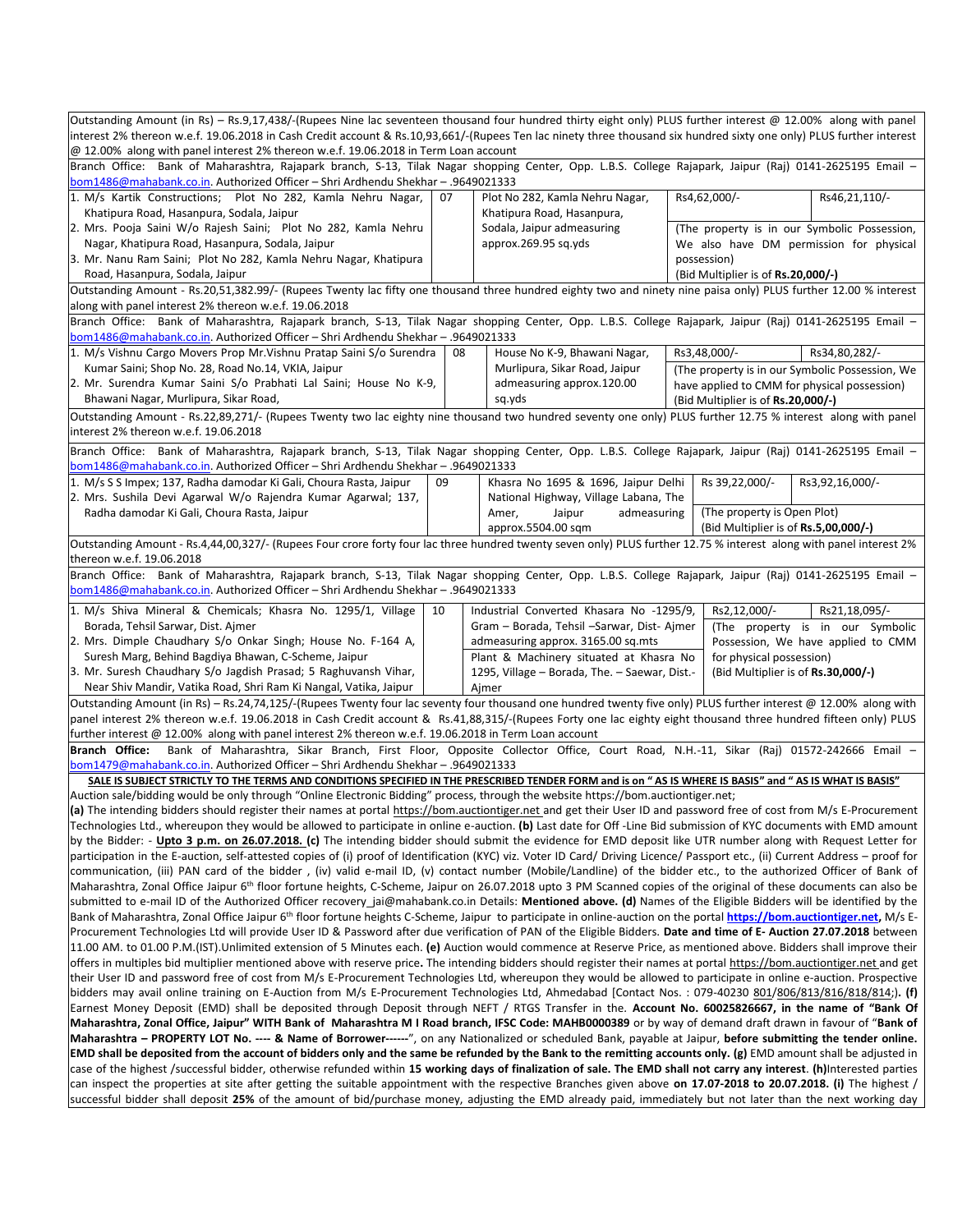| Outstanding Amount (in Rs) - Rs.9,17,438/-(Rupees Nine lac seventeen thousand four hundred thirty eight only) PLUS further interest @ 12.00% along with panel                                                                                                                                                                                      |    |                                                                                 |  |                                                                                    |                                                                        |  |  |  |  |
|----------------------------------------------------------------------------------------------------------------------------------------------------------------------------------------------------------------------------------------------------------------------------------------------------------------------------------------------------|----|---------------------------------------------------------------------------------|--|------------------------------------------------------------------------------------|------------------------------------------------------------------------|--|--|--|--|
| interest 2% thereon w.e.f. 19.06.2018 in Cash Credit account & Rs.10,93,661/-(Rupees Ten lac ninety three thousand six hundred sixty one only) PLUS further interest<br>@ 12.00% along with panel interest 2% thereon w.e.f. 19.06.2018 in Term Loan account                                                                                       |    |                                                                                 |  |                                                                                    |                                                                        |  |  |  |  |
| Branch Office: Bank of Maharashtra, Rajapark branch, S-13, Tilak Nagar shopping Center, Opp. L.B.S. College Rajapark, Jaipur (Raj) 0141-2625195 Email -<br><u>bom1486@mahabank.co.in</u> . Authorized Officer – Shri Ardhendu Shekhar – .9649021333                                                                                                |    |                                                                                 |  |                                                                                    |                                                                        |  |  |  |  |
| 1. M/s Kartik Constructions; Plot No 282, Kamla Nehru Nagar,<br>Khatipura Road, Hasanpura, Sodala, Jaipur                                                                                                                                                                                                                                          | 07 | Plot No 282, Kamla Nehru Nagar,<br>Khatipura Road, Hasanpura,                   |  | Rs4,62,000/-                                                                       | Rs46,21,110/-                                                          |  |  |  |  |
| 2. Mrs. Pooja Saini W/o Rajesh Saini; Plot No 282, Kamla Nehru                                                                                                                                                                                                                                                                                     |    | Sodala, Jaipur admeasuring                                                      |  |                                                                                    | (The property is in our Symbolic Possession,                           |  |  |  |  |
| Nagar, Khatipura Road, Hasanpura, Sodala, Jaipur                                                                                                                                                                                                                                                                                                   |    | approx.269.95 sq.yds                                                            |  |                                                                                    | We also have DM permission for physical                                |  |  |  |  |
| 3. Mr. Nanu Ram Saini; Plot No 282, Kamla Nehru Nagar, Khatipura                                                                                                                                                                                                                                                                                   |    |                                                                                 |  | possession)                                                                        |                                                                        |  |  |  |  |
| Road, Hasanpura, Sodala, Jaipur                                                                                                                                                                                                                                                                                                                    |    |                                                                                 |  | (Bid Multiplier is of Rs.20,000/-)                                                 |                                                                        |  |  |  |  |
| Outstanding Amount - Rs.20,51,382.99/- (Rupees Twenty lac fifty one thousand three hundred eighty two and ninety nine paisa only) PLUS further 12.00 % interest<br>along with panel interest 2% thereon w.e.f. 19.06.2018                                                                                                                          |    |                                                                                 |  |                                                                                    |                                                                        |  |  |  |  |
| Branch Office: Bank of Maharashtra, Rajapark branch, S-13, Tilak Nagar shopping Center, Opp. L.B.S. College Rajapark, Jaipur (Raj) 0141-2625195 Email -<br><u>bom1486@mahabank.co.in</u> . Authorized Officer – Shri Ardhendu Shekhar – .9649021333                                                                                                |    |                                                                                 |  |                                                                                    |                                                                        |  |  |  |  |
| 1. M/s Vishnu Cargo Movers Prop Mr. Vishnu Pratap Saini S/o Surendra                                                                                                                                                                                                                                                                               | 08 | House No K-9, Bhawani Nagar,                                                    |  | Rs3,48,000/-                                                                       | Rs34,80,282/-                                                          |  |  |  |  |
| Kumar Saini; Shop No. 28, Road No.14, VKIA, Jaipur                                                                                                                                                                                                                                                                                                 |    | Murlipura, Sikar Road, Jaipur                                                   |  |                                                                                    | (The property is in our Symbolic Possession, We                        |  |  |  |  |
| 2. Mr. Surendra Kumar Saini S/o Prabhati Lal Saini; House No K-9,<br>Bhawani Nagar, Murlipura, Sikar Road,                                                                                                                                                                                                                                         |    | admeasuring approx.120.00<br>sq.yds                                             |  | have applied to CMM for physical possession)<br>(Bid Multiplier is of Rs.20,000/-) |                                                                        |  |  |  |  |
| Outstanding Amount - Rs.22,89,271/- (Rupees Twenty two lac eighty nine thousand two hundred seventy one only) PLUS further 12.75 % interest along with panel                                                                                                                                                                                       |    |                                                                                 |  |                                                                                    |                                                                        |  |  |  |  |
| interest 2% thereon w.e.f. 19.06.2018                                                                                                                                                                                                                                                                                                              |    |                                                                                 |  |                                                                                    |                                                                        |  |  |  |  |
| Branch Office: Bank of Maharashtra, Rajapark branch, S-13, Tilak Nagar shopping Center, Opp. L.B.S. College Rajapark, Jaipur (Raj) 0141-2625195 Email -<br>bom1486@mahabank.co.in. Authorized Officer - Shri Ardhendu Shekhar - .9649021333                                                                                                        |    |                                                                                 |  |                                                                                    |                                                                        |  |  |  |  |
| 1. M/s S S Impex; 137, Radha damodar Ki Gali, Choura Rasta, Jaipur                                                                                                                                                                                                                                                                                 | 09 | Khasra No 1695 & 1696, Jaipur Delhi                                             |  | Rs 39,22,000/-                                                                     | Rs3,92,16,000/-                                                        |  |  |  |  |
| 2. Mrs. Sushila Devi Agarwal W/o Rajendra Kumar Agarwal; 137,                                                                                                                                                                                                                                                                                      |    | National Highway, Village Labana, The                                           |  |                                                                                    |                                                                        |  |  |  |  |
| Radha damodar Ki Gali, Choura Rasta, Jaipur                                                                                                                                                                                                                                                                                                        |    | Amer,<br>Jaipur<br>admeasuring<br>approx.5504.00 sqm                            |  | (The property is Open Plot)<br>(Bid Multiplier is of <b>Rs.5,00,000/-)</b>         |                                                                        |  |  |  |  |
| Outstanding Amount - Rs.4,44,00,327/- (Rupees Four crore forty four lac three hundred twenty seven only) PLUS further 12.75 % interest along with panel interest 2%                                                                                                                                                                                |    |                                                                                 |  |                                                                                    |                                                                        |  |  |  |  |
| thereon w.e.f. 19.06.2018<br>Branch Office: Bank of Maharashtra, Rajapark branch, S-13, Tilak Nagar shopping Center, Opp. L.B.S. College Rajapark, Jaipur (Raj) 0141-2625195 Email -                                                                                                                                                               |    |                                                                                 |  |                                                                                    |                                                                        |  |  |  |  |
| bom1486@mahabank.co.in. Authorized Officer - Shri Ardhendu Shekhar - .9649021333                                                                                                                                                                                                                                                                   |    |                                                                                 |  |                                                                                    |                                                                        |  |  |  |  |
| 1. M/s Shiva Mineral & Chemicals; Khasra No. 1295/1, Village                                                                                                                                                                                                                                                                                       | 10 | Industrial Converted Khasara No -1295/9,                                        |  | Rs2,12,000/-                                                                       | Rs21,18,095/-                                                          |  |  |  |  |
| Borada, Tehsil Sarwar, Dist. Ajmer<br>2. Mrs. Dimple Chaudhary S/o Onkar Singh; House No. F-164 A,                                                                                                                                                                                                                                                 |    | Gram - Borada, Tehsil -Sarwar, Dist-Ajmer<br>admeasuring approx. 3165.00 sq.mts |  |                                                                                    | (The property is in our Symbolic<br>Possession, We have applied to CMM |  |  |  |  |
| Suresh Marg, Behind Bagdiya Bhawan, C-Scheme, Jaipur                                                                                                                                                                                                                                                                                               |    | Plant & Machinery situated at Khasra No                                         |  | for physical possession)                                                           |                                                                        |  |  |  |  |
| 3. Mr. Suresh Chaudhary S/o Jagdish Prasad; 5 Raghuvansh Vihar,                                                                                                                                                                                                                                                                                    |    | 1295, Village - Borada, The. - Saewar, Dist.-                                   |  | (Bid Multiplier is of Rs.30,000/-)                                                 |                                                                        |  |  |  |  |
| Near Shiv Mandir, Vatika Road, Shri Ram Ki Nangal, Vatika, Jaipur                                                                                                                                                                                                                                                                                  |    | Ajmer                                                                           |  |                                                                                    |                                                                        |  |  |  |  |
| Outstanding Amount (in Rs) - Rs.24,74,125/-(Rupees Twenty four lac seventy four thousand one hundred twenty five only) PLUS further interest @ 12.00% along with<br>panel interest 2% thereon w.e.f. 19.06.2018 in Cash Credit account & Rs.41,88,315/-(Rupees Forty one lac eighty eight thousand three hundred fifteen only) PLUS                |    |                                                                                 |  |                                                                                    |                                                                        |  |  |  |  |
|                                                                                                                                                                                                                                                                                                                                                    |    |                                                                                 |  |                                                                                    |                                                                        |  |  |  |  |
| further interest @ 12.00% along with panel interest 2% thereon w.e.f. 19.06.2018 in Term Loan account<br>Bank of Maharashtra, Sikar Branch, First Floor, Opposite Collector Office, Court Road, N.H.-11, Sikar (Raj) 01572-242666 Email -<br>Branch Office:                                                                                        |    |                                                                                 |  |                                                                                    |                                                                        |  |  |  |  |
| bom1479@mahabank.co.in. Authorized Officer - Shri Ardhendu Shekhar - .9649021333<br>SALE IS SUBJECT STRICTLY TO THE TERMS AND CONDITIONS SPECIFIED IN THE PRESCRIBED TENDER FORM and is on " AS IS WHERE IS BASIS" and " AS IS WHAT IS BASIS"                                                                                                      |    |                                                                                 |  |                                                                                    |                                                                        |  |  |  |  |
| Auction sale/bidding would be only through "Online Electronic Bidding" process, through the website https://bom.auctiontiger.net;                                                                                                                                                                                                                  |    |                                                                                 |  |                                                                                    |                                                                        |  |  |  |  |
| (a) The intending bidders should register their names at portal https://bom.auctiontiger.net and get their User ID and password free of cost from M/s E-Procurement                                                                                                                                                                                |    |                                                                                 |  |                                                                                    |                                                                        |  |  |  |  |
| Technologies Ltd., whereupon they would be allowed to participate in online e-auction. (b) Last date for Off-Line Bid submission of KYC documents with EMD amount                                                                                                                                                                                  |    |                                                                                 |  |                                                                                    |                                                                        |  |  |  |  |
| by the Bidder: - Upto 3 p.m. on 26.07.2018. (c) The intending bidder should submit the evidence for EMD deposit like UTR number along with Request Letter for                                                                                                                                                                                      |    |                                                                                 |  |                                                                                    |                                                                        |  |  |  |  |
| participation in the E-auction, self-attested copies of (i) proof of Identification (KYC) viz. Voter ID Card/ Driving Licence/ Passport etc., (ii) Current Address – proof for<br>communication, (iii) PAN card of the bidder, (iv) valid e-mail ID, (v) contact number (Mobile/Landline) of the bidder etc., to the authorized Officer of Bank of |    |                                                                                 |  |                                                                                    |                                                                        |  |  |  |  |
| Maharashtra, Zonal Office Jaipur 6 <sup>th</sup> floor fortune heights, C-Scheme, Jaipur on 26.07.2018 upto 3 PM Scanned copies of the original of these documents can also be                                                                                                                                                                     |    |                                                                                 |  |                                                                                    |                                                                        |  |  |  |  |
| submitted to e-mail ID of the Authorized Officer recovery jai@mahabank.co.in Details: Mentioned above. (d) Names of the Eligible Bidders will be identified by the                                                                                                                                                                                 |    |                                                                                 |  |                                                                                    |                                                                        |  |  |  |  |
| Bank of Maharashtra, Zonal Office Jaipur 6 <sup>th</sup> floor fortune heights C-Scheme, Jaipur to participate in online-auction on the portal https://bom.auctiontiger.net, M/s E-                                                                                                                                                                |    |                                                                                 |  |                                                                                    |                                                                        |  |  |  |  |
| Procurement Technologies Ltd will provide User ID & Password after due verification of PAN of the Eligible Bidders. Date and time of E- Auction 27.07.2018 between                                                                                                                                                                                 |    |                                                                                 |  |                                                                                    |                                                                        |  |  |  |  |
| 11.00 AM. to 01.00 P.M.(IST).Unlimited extension of 5 Minutes each. (e) Auction would commence at Reserve Price, as mentioned above. Bidders shall improve their<br>loffers in multiples bid multiplier mentioned above with reserve price. The intending bidders should register their names at portal https://bom.auctiontiger.net and get       |    |                                                                                 |  |                                                                                    |                                                                        |  |  |  |  |
| their User ID and password free of cost from M/s E-Procurement Technologies Ltd, whereupon they would be allowed to participate in online e-auction. Prospective                                                                                                                                                                                   |    |                                                                                 |  |                                                                                    |                                                                        |  |  |  |  |
| bidders may avail online training on E-Auction from M/s E-Procurement Technologies Ltd, Ahmedabad [Contact Nos.: 079-40230 801/806/813/816/818/814;). (f)                                                                                                                                                                                          |    |                                                                                 |  |                                                                                    |                                                                        |  |  |  |  |
| Earnest Money Deposit (EMD) shall be deposited through Deposit through NEFT / RTGS Transfer in the. Account No. 60025826667, in the name of "Bank Of                                                                                                                                                                                               |    |                                                                                 |  |                                                                                    |                                                                        |  |  |  |  |
| Maharashtra, Zonal Office, Jaipur" WITH Bank of Maharashtra M I Road branch, IFSC Code: MAHB0000389 or by way of demand draft drawn in favour of "Bank of                                                                                                                                                                                          |    |                                                                                 |  |                                                                                    |                                                                        |  |  |  |  |
| Maharashtra - PROPERTY LOT No. ---- & Name of Borrower------", on any Nationalized or scheduled Bank, payable at Jaipur, before submitting the tender online.<br>EMD shall be deposited from the account of bidders only and the same be refunded by the Bank to the remitting accounts only. (g) EMD amount shall be adjusted in                  |    |                                                                                 |  |                                                                                    |                                                                        |  |  |  |  |
| case of the highest /successful bidder, otherwise refunded within 15 working days of finalization of sale. The EMD shall not carry any interest. (h)Interested parties                                                                                                                                                                             |    |                                                                                 |  |                                                                                    |                                                                        |  |  |  |  |
| can inspect the properties at site after getting the suitable appointment with the respective Branches given above on 17.07-2018 to 20.07.2018. (i) The highest /                                                                                                                                                                                  |    |                                                                                 |  |                                                                                    |                                                                        |  |  |  |  |
| successful bidder shall deposit 25% of the amount of bid/purchase money, adjusting the EMD already paid, immediately but not later than the next working day                                                                                                                                                                                       |    |                                                                                 |  |                                                                                    |                                                                        |  |  |  |  |
|                                                                                                                                                                                                                                                                                                                                                    |    |                                                                                 |  |                                                                                    |                                                                        |  |  |  |  |